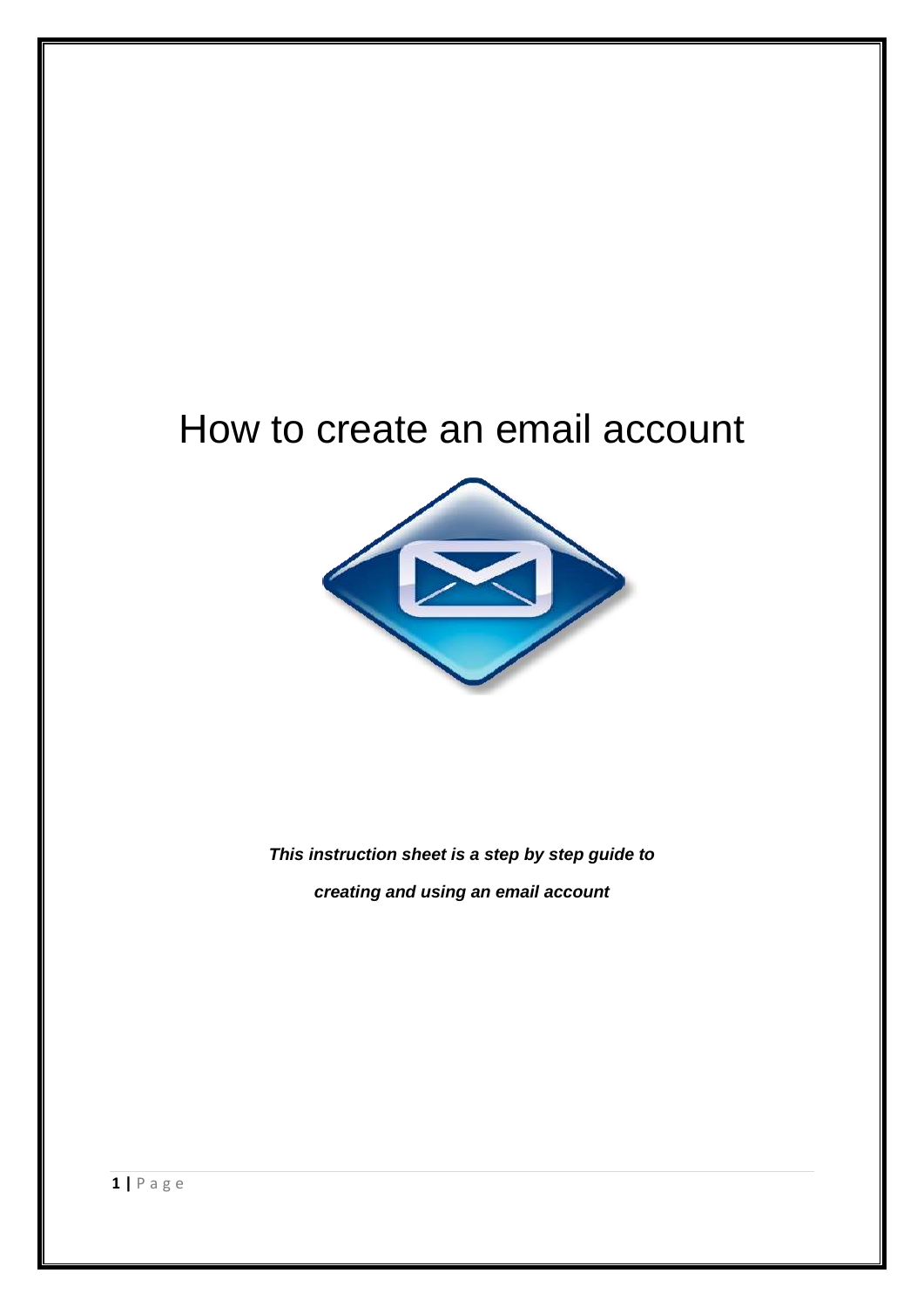# How to create an email account



*This instruction sheet is a step by step guide to creating and using an email account*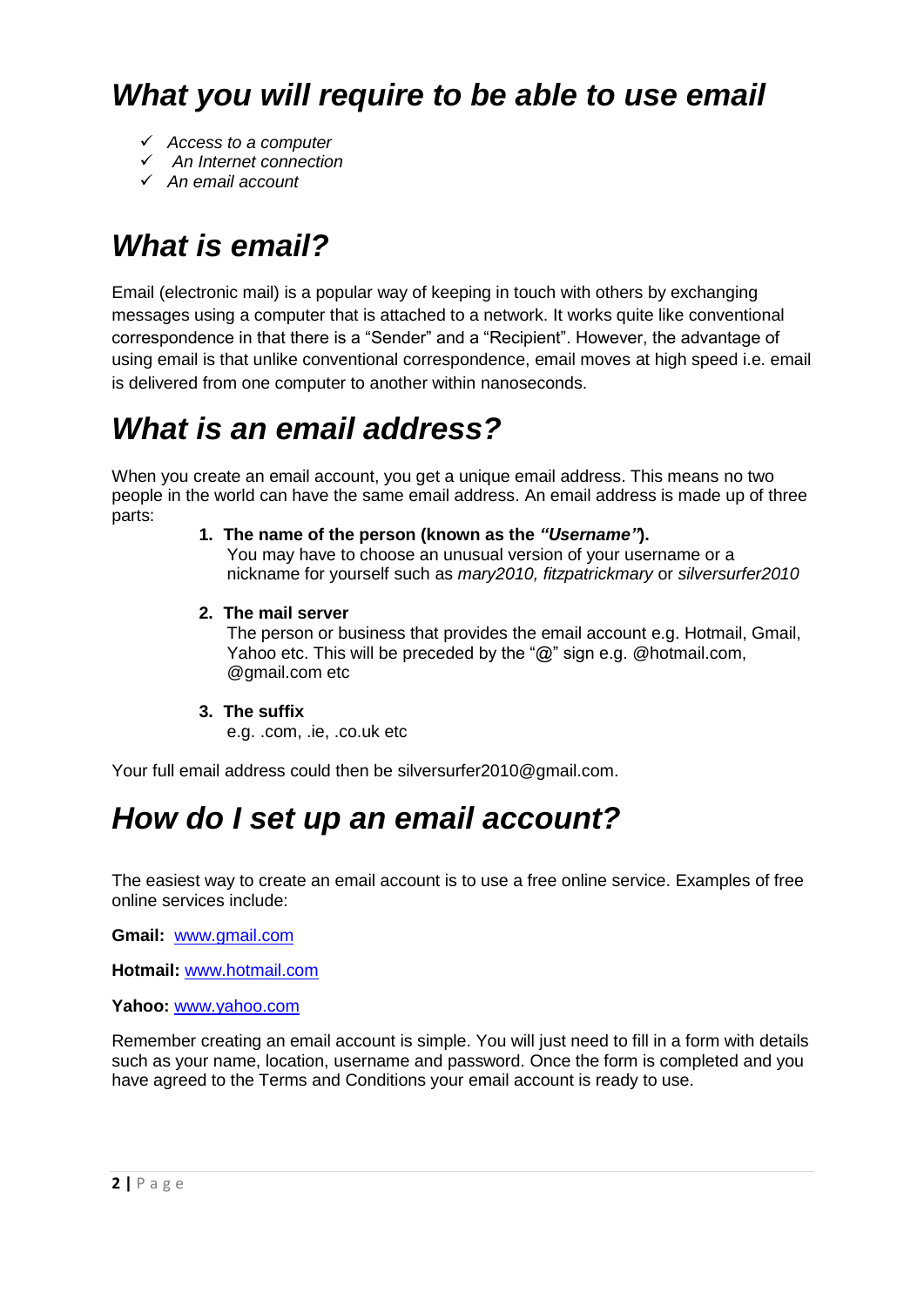### *What you will require to be able to use email*

- *Access to a computer*
- *An Internet connection*
- *An email account*

# *What is email?*

Email (electronic mail) is a popular way of keeping in touch with others by exchanging messages using a computer that is attached to a network. It works quite like conventional correspondence in that there is a "Sender" and a "Recipient". However, the advantage of using email is that unlike conventional correspondence, email moves at high speed i.e. email is delivered from one computer to another within nanoseconds.

# *What is an email address?*

When you create an email account, you get a unique email address. This means no two people in the world can have the same email address. An email address is made up of three parts:

**1. The name of the person (known as the** *"Username"***).** 

You may have to choose an unusual version of your username or a nickname for yourself such as *mary2010, fitzpatrickmary* or *silversurfer2010* 

**2. The mail server**

The person or business that provides the email account e.g. Hotmail, Gmail, Yahoo etc. This will be preceded by the "@" sign e.g. @hotmail.com, @gmail.com etc

### **3. The suffix**

e.g. .com, .ie, .co.uk etc

Your full email address could then be [silversurfer2010@gmail.com.](mailto:silversurfer2010@gmail.com)

### *How do I set up an email account?*

The easiest way to create an email account is to use a free online service. Examples of free online services include:

**Gmail:** [www.gmail.com](http://www.gmail.com/)

**Hotmail:** [www.hotmail.com](http://www.hotmail.com/)

**Yahoo:** [www.yahoo.com](http://www.yahoo.com/)

Remember creating an email account is simple. You will just need to fill in a form with details such as your name, location, username and password. Once the form is completed and you have agreed to the Terms and Conditions your email account is ready to use.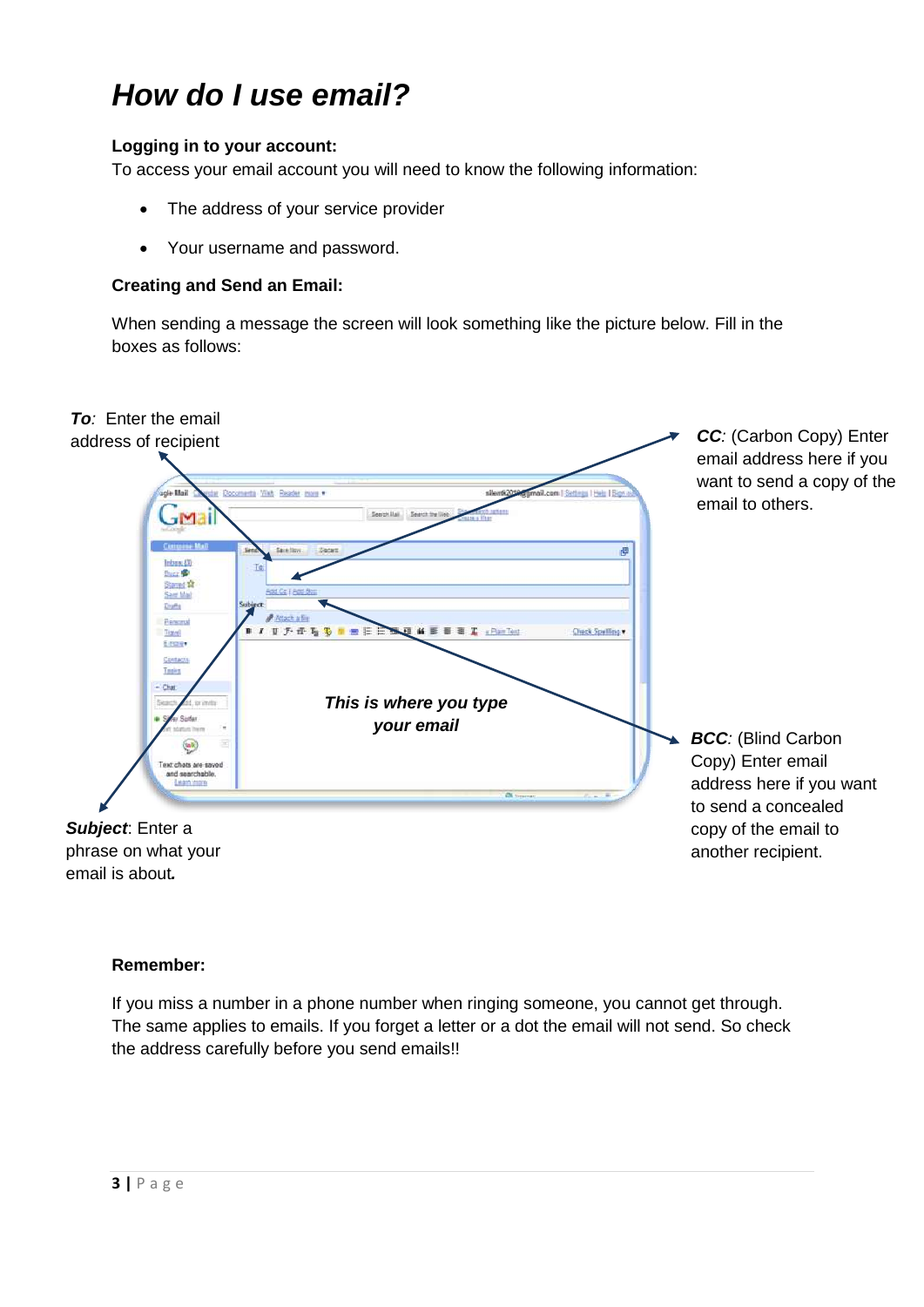### *How do I use email?*

### **Logging in to your account:**

To access your email account you will need to know the following information:

- The address of your service provider
- Your username and password.

### **Creating and Send an Email:**

When sending a message the screen will look something like the picture below. Fill in the boxes as follows:



#### **Remember:**

If you miss a number in a phone number when ringing someone, you cannot get through. The same applies to emails. If you forget a letter or a dot the email will not send. So check the address carefully before you send emails!!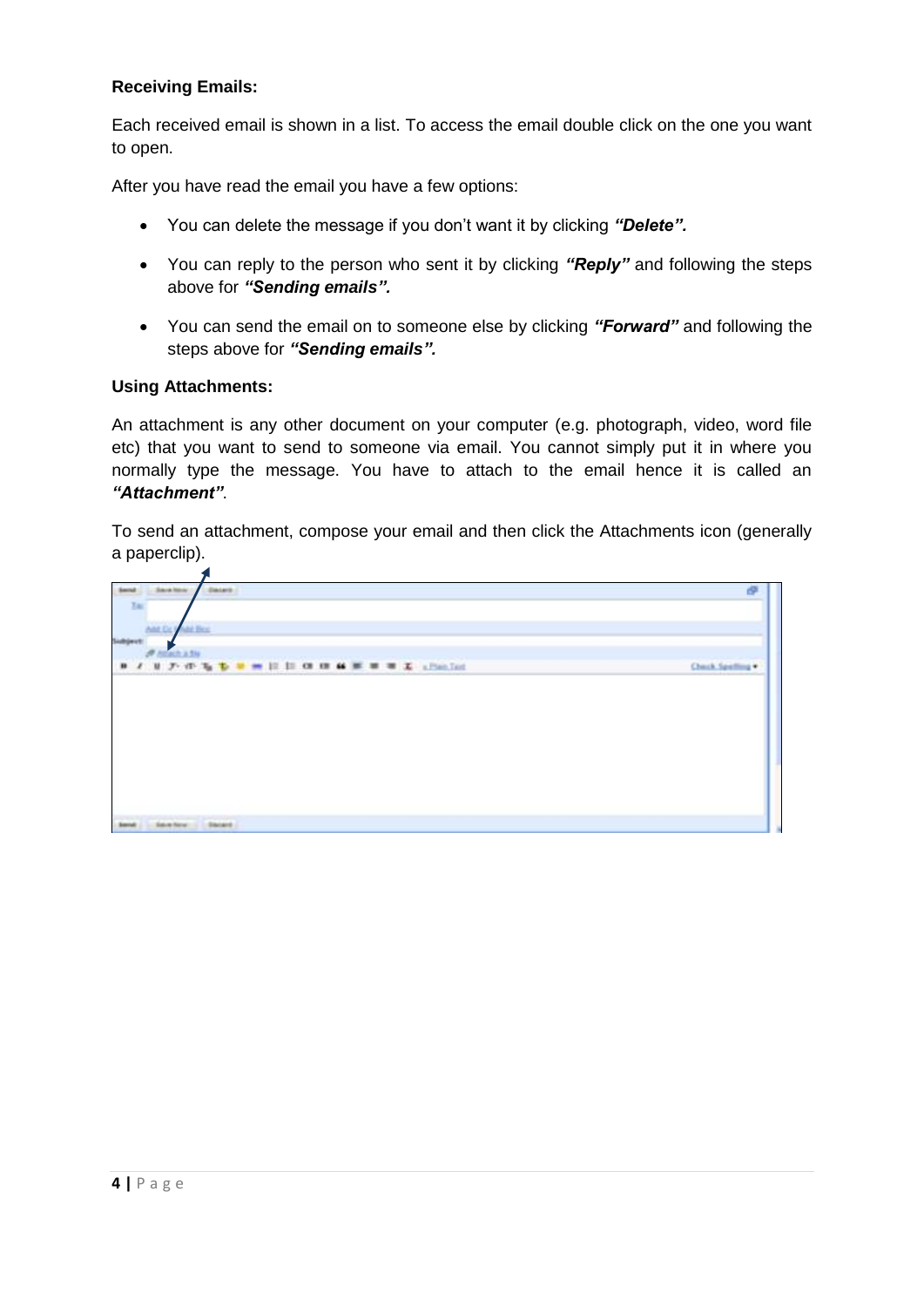### **Receiving Emails:**

Each received email is shown in a list. To access the email double click on the one you want to open.

After you have read the email you have a few options:

- You can delete the message if you don't want it by clicking *"Delete".*
- You can reply to the person who sent it by clicking *"Reply"* and following the steps above for *"Sending emails".*
- You can send the email on to someone else by clicking *"Forward"* and following the steps above for *"Sending emails".*

#### **Using Attachments:**

 $\blacktriangleleft$ 

An attachment is any other document on your computer (e.g. photograph, video, word file etc) that you want to send to someone via email. You cannot simply put it in where you normally type the message. You have to attach to the email hence it is called an *"Attachment"*.

To send an attachment, compose your email and then click the Attachments icon (generally a paperclip).

| Sara tone<br>: Datards | æ                |
|------------------------|------------------|
|                        |                  |
| <b>Add Fire</b>        |                  |
|                        |                  |
| <b>Allach A Sty</b>    | Check Spelling * |
|                        |                  |
|                        |                  |
|                        |                  |
|                        |                  |
|                        |                  |
|                        |                  |
|                        |                  |
|                        |                  |
|                        |                  |
|                        |                  |
| Selection 1. Decard    |                  |